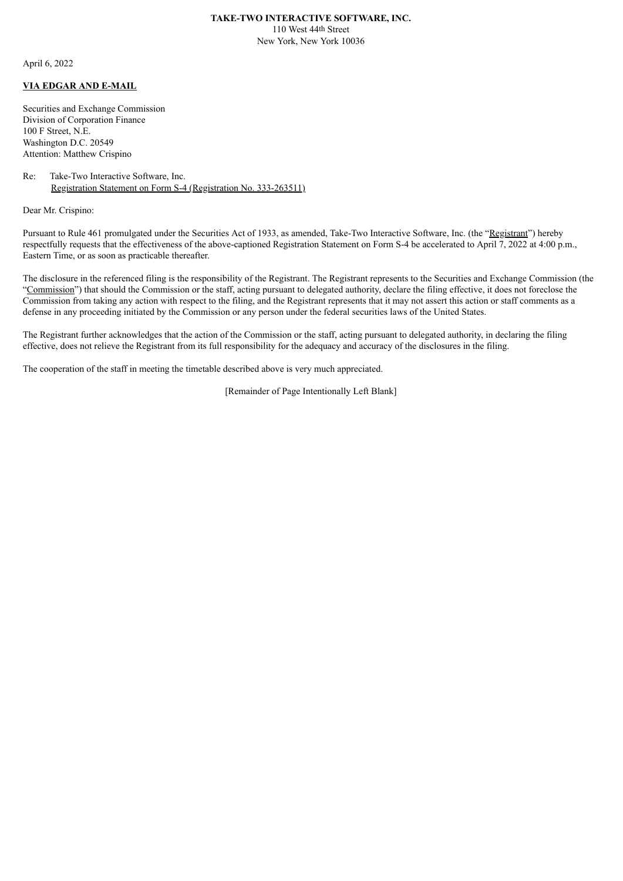## **TAKE-TWO INTERACTIVE SOFTWARE, INC.** 110 West 44th Street New York, New York 10036

April 6, 2022

## **VIA EDGAR AND E-MAIL**

Securities and Exchange Commission Division of Corporation Finance 100 F Street, N.E. Washington D.C. 20549 Attention: Matthew Crispino

## Re: Take-Two Interactive Software, Inc. Registration Statement on Form S-4 (Registration No. 333-263511)

Dear Mr. Crispino:

Pursuant to Rule 461 promulgated under the Securities Act of 1933, as amended, Take-Two Interactive Software, Inc. (the "Registrant") hereby respectfully requests that the effectiveness of the above-captioned Registration Statement on Form S-4 be accelerated to April 7, 2022 at 4:00 p.m., Eastern Time, or as soon as practicable thereafter.

The disclosure in the referenced filing is the responsibility of the Registrant. The Registrant represents to the Securities and Exchange Commission (the "Commission") that should the Commission or the staff, acting pursuant to delegated authority, declare the filing effective, it does not foreclose the Commission from taking any action with respect to the filing, and the Registrant represents that it may not assert this action or staff comments as a defense in any proceeding initiated by the Commission or any person under the federal securities laws of the United States.

The Registrant further acknowledges that the action of the Commission or the staff, acting pursuant to delegated authority, in declaring the filing effective, does not relieve the Registrant from its full responsibility for the adequacy and accuracy of the disclosures in the filing.

The cooperation of the staff in meeting the timetable described above is very much appreciated.

[Remainder of Page Intentionally Left Blank]